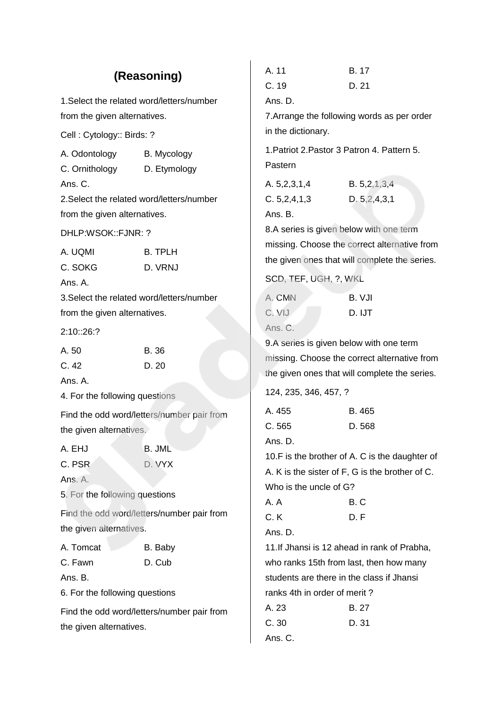|                                           | (Reasoning)                                | A. 11<br>C.19                                 | <b>B.17</b><br>D. 21                            |  |
|-------------------------------------------|--------------------------------------------|-----------------------------------------------|-------------------------------------------------|--|
| 1. Select the related word/letters/number |                                            | Ans. D.                                       |                                                 |  |
| from the given alternatives.              |                                            |                                               | 7. Arrange the following words as per order     |  |
| Cell: Cytology:: Birds: ?                 |                                            | in the dictionary.                            |                                                 |  |
| A. Odontology<br>C. Ornithology           | B. Mycology<br>D. Etymology                | Pastern                                       | 1. Patriot 2. Pastor 3 Patron 4. Pattern 5.     |  |
| Ans. C.                                   |                                            | A. 5,2,3,1,4                                  | B. 5, 2, 1, 3, 4                                |  |
| 2. Select the related word/letters/number |                                            | C. 5, 2, 4, 1, 3                              | D. 5, 2, 4, 3, 1                                |  |
| from the given alternatives.              |                                            | Ans. B.                                       |                                                 |  |
| DHLP:WSOK::FJNR: ?                        |                                            |                                               | 8.A series is given below with one term         |  |
| A. UQMI                                   | <b>B. TPLH</b>                             |                                               | missing. Choose the correct alternative from    |  |
| C. SOKG                                   | D. VRNJ                                    |                                               | the given ones that will complete the series.   |  |
| Ans. A.                                   |                                            | SCD, TEF, UGH, ?, WKL                         |                                                 |  |
| 3. Select the related word/letters/number |                                            | A. CMN                                        | B. VJI                                          |  |
| from the given alternatives.              |                                            | C. VIJ                                        | D. IJT                                          |  |
| 2:10::26:?                                |                                            | Ans. C.                                       |                                                 |  |
| A. 50<br><b>B.36</b>                      |                                            | 9.A series is given below with one term       |                                                 |  |
| C.42                                      | D. 20                                      |                                               | missing. Choose the correct alternative from    |  |
| Ans. A.                                   |                                            | the given ones that will complete the series. |                                                 |  |
| 4. For the following questions            |                                            | 124, 235, 346, 457, ?                         |                                                 |  |
|                                           | Find the odd word/letters/number pair from | A. 455                                        | B. 465                                          |  |
| the given alternatives.                   |                                            | C.565                                         | D. 568                                          |  |
| A. EHJ                                    | <b>B. JML</b>                              | Ans. D.                                       |                                                 |  |
| C. PSR                                    | D. VYX                                     |                                               | 10.F is the brother of A. C is the daughter of  |  |
| Ans. A.                                   |                                            |                                               | A. K is the sister of F, G is the brother of C. |  |
| 5. For the following questions            |                                            | Who is the uncle of G?<br>A.A                 | B.C                                             |  |
|                                           | Find the odd word/letters/number pair from | C.K                                           | D.F                                             |  |
| the given alternatives.                   |                                            | Ans. D.                                       |                                                 |  |
| A. Tomcat                                 | B. Baby                                    |                                               | 11. If Jhansi is 12 ahead in rank of Prabha,    |  |
| C. Fawn                                   | D. Cub                                     |                                               | who ranks 15th from last, then how many         |  |
| Ans. B.                                   |                                            | students are there in the class if Jhansi     |                                                 |  |
| 6. For the following questions            |                                            |                                               | ranks 4th in order of merit?                    |  |
|                                           | Find the odd word/letters/number pair from | A. 23                                         | B. 27                                           |  |
| the given alternatives.                   |                                            | C.30                                          | D. 31                                           |  |
|                                           |                                            | Ans. C.                                       |                                                 |  |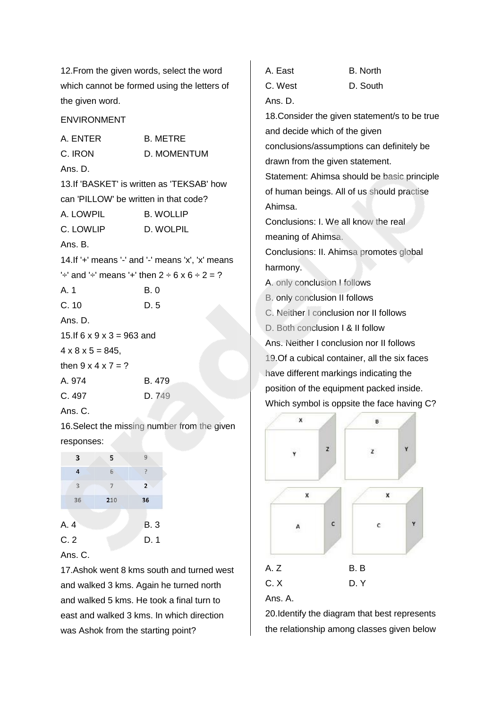12.From the given words, select the word which cannot be formed using the letters of the given word.

ENVIRONMENT

| A. ENTER                               | <b>B. METRE</b>                                                       |
|----------------------------------------|-----------------------------------------------------------------------|
| C. IRON                                | D. MOMENTUM                                                           |
| Ans. D.                                |                                                                       |
|                                        | 13. If 'BASKET' is written as 'TEKSAB' how                            |
| can 'PILLOW' be written in that code?  |                                                                       |
| A. LOWPIL                              | <b>B. WOLLIP</b>                                                      |
| C. LOWLIP                              | D. WOLPIL                                                             |
| Ans. B.                                |                                                                       |
|                                        | 14. If '+' means '-' and '-' means 'x', 'x' means                     |
|                                        | ' $\div$ and ' $\div$ means ' $\div$ then 2 $\div$ 6 x 6 $\div$ 2 = ? |
| A.1                                    | B. 0                                                                  |
| C. 10                                  | D.5                                                                   |
| Ans. D.                                |                                                                       |
| 15. If $6 \times 9 \times 3 = 963$ and |                                                                       |
| $4 \times 8 \times 5 = 845,$           |                                                                       |
| then $9 \times 4 \times 7 = ?$         |                                                                       |
| A. 974                                 | B. 479                                                                |
| C. 497                                 | D. 749                                                                |
| Ans. C.                                |                                                                       |

16.Select the missing number from the given responses:

| 3                       | 5              | 9              |
|-------------------------|----------------|----------------|
| $\overline{\mathbf{r}}$ | 6              |                |
| 3                       | $\overline{7}$ | $\overline{2}$ |
| 36                      | 210            | 36             |
| A. 4                    |                | <b>B.3</b>     |
| C.2                     |                | D.1            |

### Ans. C.

17.Ashok went 8 kms south and turned west and walked 3 kms. Again he turned north and walked 5 kms. He took a final turn to east and walked 3 kms. In which direction was Ashok from the starting point?

A. East B. North C. West D. South Ans. D. 18.Consider the given statement/s to be true and decide which of the given conclusions/assumptions can definitely be drawn from the given statement. Statement: Ahimsa should be basic principle of human beings. All of us should practise Ahimsa. Conclusions: I. We all know the real meaning of Ahimsa. Conclusions: II. Ahimsa promotes global harmony. A. only conclusion I follows B. only conclusion II follows C. Neither I conclusion nor II follows D. Both conclusion I & II follow Ans. Neither I conclusion nor II follows 19.Of a cubical container, all the six faces have different markings indicating the position of the equipment packed inside. Which symbol is oppsite the face having C?  $\mathbf{x}$ B



20.Identify the diagram that best represents the relationship among classes given below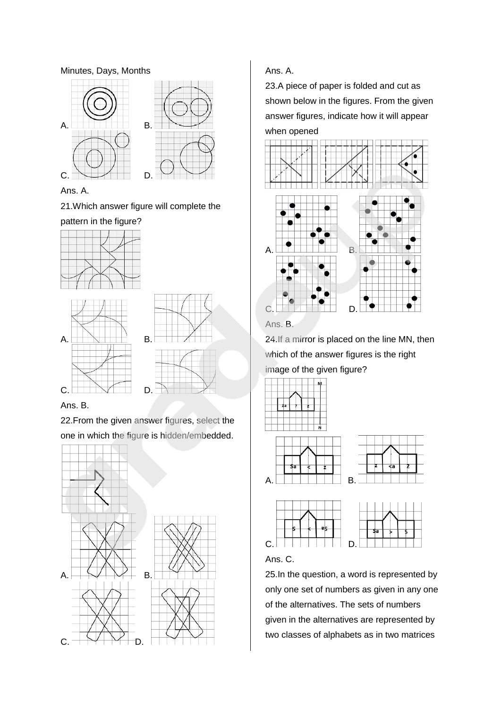#### Minutes, Days, Months



Ans. A.

21.Which answer figure will complete the

pattern in the figure?





Ans. B.

22.From the given answer figures, select the one in which the figure is hidden/embedded.



## Ans. A.

23.A piece of paper is folded and cut as shown below in the figures. From the given answer figures, indicate how it will appear when opened



Ans. B.

24.If a mirror is placed on the line MN, then which of the answer figures is the right image of the given figure?







25.In the question, a word is represented by only one set of numbers as given in any one of the alternatives. The sets of numbers given in the alternatives are represented by two classes of alphabets as in two matrices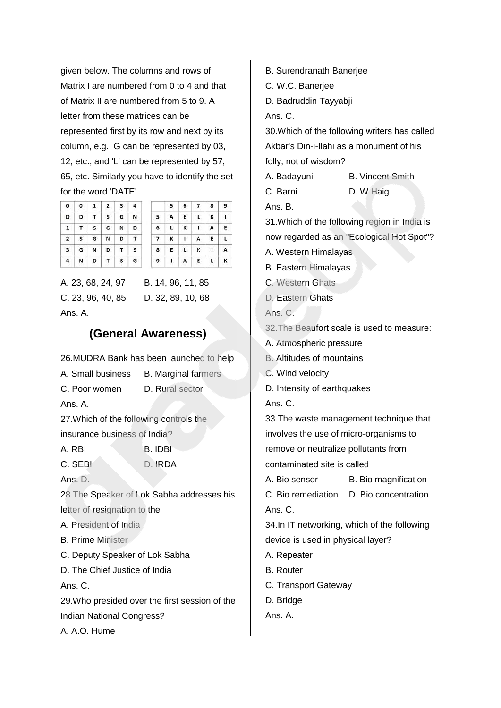given below. The columns and rows of Matrix I are numbered from 0 to 4 and that of Matrix II are numbered from 5 to 9. A letter from these matrices can be represented first by its row and next by its column, e.g., G can be represented by 03, 12, etc., and 'L' can be represented by 57, 65, etc. Similarly you have to identify the set for the word 'DATE'

 $\overline{\mathbf{c}}$ 

|                | 0 0 1 2 3 4       |    |     |   |   |                |              | $5 \t6 \t7$       |   | -8             |
|----------------|-------------------|----|-----|---|---|----------------|--------------|-------------------|---|----------------|
| $\circ$        | D                 |    | T S | G | N | 5              | $\mathsf{A}$ | E                 | L | K              |
| 1              | T                 | S  | G   | N | D | $6^{\circ}$    |              | $L$ $K$ $I$       |   |                |
|                | $2 \mid 5 \mid 6$ |    | N D |   | T | $\overline{7}$ | $\mathbf{K}$ | $\Box$            | A |                |
| $\mathbf{3}$   |                   | GN | D   | T | s | 8              |              | $E \mid L \mid K$ |   | $\blacksquare$ |
| $\overline{4}$ | N                 | D  | T   | S | G | 9              | $\mathbf{I}$ | $\mathsf{A}$      | Ε |                |

A. 23, 68, 24, 97 B. 14, 96, 11, 85 C. 23, 96, 40, 85 D. 32, 89, 10, 68 Ans. A.

# **(General Awareness)**

26.MUDRA Bank has been launched to help

|  | A. Small business | <b>B. Marginal farmers</b> |  |
|--|-------------------|----------------------------|--|
|  |                   |                            |  |

C. Poor women D. Rural sector

Ans. A.

27.Which of the following controls the

insurance business of India?

- A. RBI B. IDBI
- C. SEBI D. IRDA

Ans. D.

28.The Speaker of Lok Sabha addresses his letter of resignation to the

A. President of India

B. Prime Minister

C. Deputy Speaker of Lok Sabha

D. The Chief Justice of India

Ans. C.

29.Who presided over the first session of the Indian National Congress?

A. A.O. Hume

B. Surendranath Banerjee

C. W.C. Banerjee

D. Badruddin Tayyabji

Ans. C.

30.Which of the following writers has called Akbar's Din-i-Ilahi as a monument of his folly, not of wisdom?

A. Badayuni B. Vincent Smith

C. Barni D. W.Haig

Ans. B.

 $\overline{9}$ 

 $\mathbf{I}$ 

E  $\mathsf{L}$ 

 $\overline{A}$ 

 $\overline{\mathsf{K}}$ 

31.Which of the following region in India is

now regarded as an "Ecological Hot Spot"?

- A. Western Himalayas
- B. Eastern Himalayas
- C. Western Ghats
- D. Eastern Ghats

Ans. C.

32.The Beaufort scale is used to measure:

A. Atmospheric pressure

B. Altitudes of mountains

- C. Wind velocity
- D. Intensity of earthquakes

Ans. C.

33.The waste management technique that involves the use of micro-organisms to remove or neutralize pollutants from contaminated site is called A. Bio sensor B. Bio magnification C. Bio remediation D. Bio concentration Ans. C. 34.In IT networking, which of the following

device is used in physical layer?

- A. Repeater
- B. Router
- C. Transport Gateway
- D. Bridge
- Ans. A.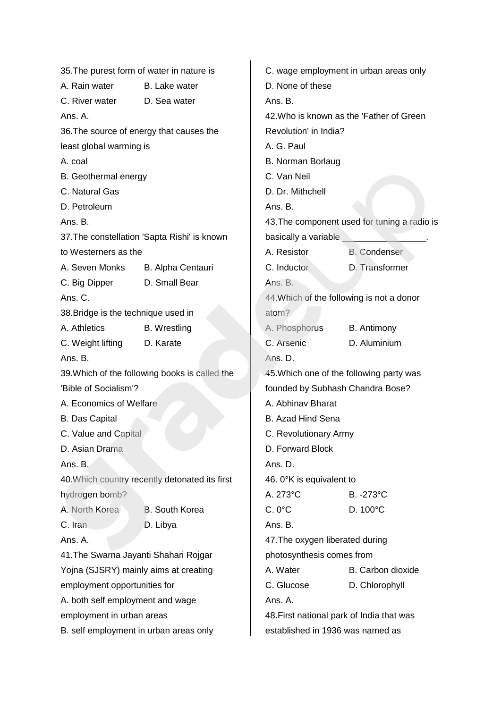| 35. The purest form of water in nature is |                                                | C. wage employment in urban areas only    |                                              |  |
|-------------------------------------------|------------------------------------------------|-------------------------------------------|----------------------------------------------|--|
| A. Rain water                             | B. Lake water                                  | D. None of these                          |                                              |  |
| C. River water                            | D. Sea water                                   | Ans. B.                                   |                                              |  |
| Ans. A.                                   |                                                |                                           | 42. Who is known as the 'Father of Green'    |  |
| 36. The source of energy that causes the  |                                                | Revolution' in India?                     |                                              |  |
| least global warming is                   |                                                | A. G. Paul                                |                                              |  |
| A. coal                                   |                                                | <b>B. Norman Borlaug</b>                  |                                              |  |
| B. Geothermal energy                      |                                                | C. Van Neil                               |                                              |  |
| C. Natural Gas                            |                                                | D. Dr. Mithchell                          |                                              |  |
| D. Petroleum                              |                                                | Ans. B.                                   |                                              |  |
| Ans. B.                                   |                                                |                                           | 43. The component used for tuning a radio is |  |
|                                           | 37. The constellation 'Sapta Rishi' is known   | basically a variable                      |                                              |  |
| to Westerners as the                      |                                                | A. Resistor                               | <b>B.</b> Condenser                          |  |
| A. Seven Monks                            | B. Alpha Centauri                              | C. Inductor                               | D. Transformer                               |  |
| C. Big Dipper                             | D. Small Bear                                  | Ans. B.                                   |                                              |  |
| Ans. C.                                   |                                                | 44. Which of the following is not a donor |                                              |  |
| 38. Bridge is the technique used in       |                                                | atom?                                     |                                              |  |
| A. Athletics                              | <b>B.</b> Wrestling                            | A. Phosphorus                             | <b>B.</b> Antimony                           |  |
| C. Weight lifting                         | D. Karate                                      | C. Arsenic                                | D. Aluminium                                 |  |
| Ans. B.                                   |                                                | Ans. D.                                   |                                              |  |
|                                           | 39. Which of the following books is called the | 45. Which one of the following party was  |                                              |  |
| 'Bible of Socialism'?                     |                                                | founded by Subhash Chandra Bose?          |                                              |  |
| A. Economics of Welfare                   |                                                | A. Abhinav Bharat                         |                                              |  |
| <b>B.</b> Das Capital                     |                                                | <b>B. Azad Hind Sena</b>                  |                                              |  |
| C. Value and Capital                      |                                                | C. Revolutionary Army                     |                                              |  |
| D. Asian Drama                            |                                                | D. Forward Block                          |                                              |  |
| Ans. B.                                   |                                                | Ans. D.                                   |                                              |  |
|                                           | 40. Which country recently detonated its first | 46. 0°K is equivalent to                  |                                              |  |
| hydrogen bomb?                            |                                                | A. 273°C                                  | B. -273°C                                    |  |
| A. North Korea                            | <b>B.</b> South Korea                          | $C.0$ °C                                  | D. 100°C                                     |  |
| C. Iran                                   | D. Libya                                       | Ans. B.                                   |                                              |  |
| Ans. A.                                   |                                                | 47. The oxygen liberated during           |                                              |  |
| 41. The Swarna Jayanti Shahari Rojgar     |                                                | photosynthesis comes from                 |                                              |  |
| Yojna (SJSRY) mainly aims at creating     |                                                | A. Water                                  | B. Carbon dioxide                            |  |
| employment opportunities for              |                                                | C. Glucose<br>D. Chlorophyll              |                                              |  |
| A. both self employment and wage          |                                                | Ans. A.                                   |                                              |  |
| employment in urban areas                 |                                                | 48. First national park of India that was |                                              |  |
| B. self employment in urban areas only    |                                                | established in 1936 was named as          |                                              |  |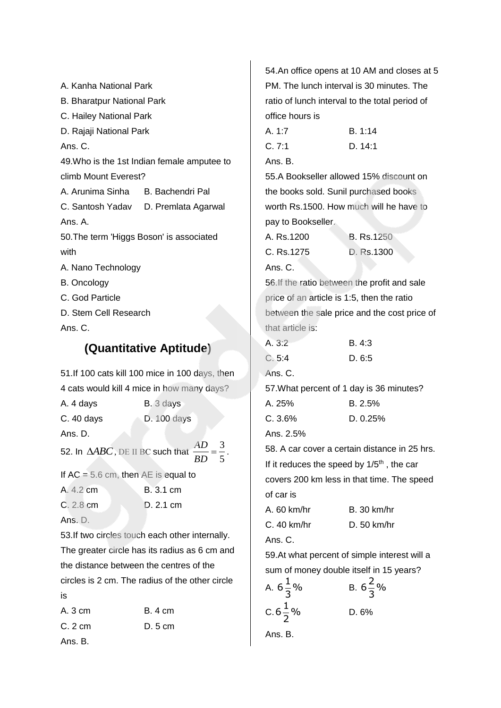A. Kanha National Park B. Bharatpur National Park C. Hailey National Park D. Rajaji National Park Ans. C. 49.Who is the 1st Indian female amputee to climb Mount Everest? A. Arunima Sinha B. Bachendri Pal. C. Santosh Yadav D. Premlata Agarwal Ans. A. 50.The term 'Higgs Boson' is associated with A. Nano Technology B. Oncology C. God Particle D. Stem Cell Research Ans. C.

## **(Quantitative Aptitude)**

51.If 100 cats kill 100 mice in 100 days, then 4 cats would kill 4 mice in how many days?

| A. 4 days   | B. 3 days          |
|-------------|--------------------|
| $C.40$ days | <b>D.</b> 100 days |

Ans. D.

52. In  $\triangle ABC$ , DE II BC such that  $\frac{AD}{DD} = \frac{3}{5}$ 5 *AD BD*  $=\frac{3}{2}$ .

If  $AC = 5.6$  cm, then  $AE$  is equal to

| A. 4.2 cm | <b>B.</b> 3.1 cm |
|-----------|------------------|
| C. 2.8 cm | D. 2.1 cm        |

Ans. D.

53.If two circles touch each other internally. The greater circle has its radius as 6 cm and the distance between the centres of the circles is 2 cm. The radius of the other circle is

| A. 3 cm | B. 4 cm |
|---------|---------|
| C.2cm   | D. 5 cm |
| Ans. B. |         |

54.An office opens at 10 AM and closes at 5 PM. The lunch interval is 30 minutes. The ratio of lunch interval to the total period of office hours is A. 1:7 B. 1:14 C. 7:1 D. 14:1 Ans. B. 55.A Bookseller allowed 15% discount on the books sold. Sunil purchased books worth Rs.1500. How much will he have to pay to Bookseller. A. Rs.1200 B. Rs.1250 C. Rs.1275 D. Rs.1300 Ans. C. 56.If the ratio between the profit and sale price of an article is 1:5, then the ratio between the sale price and the cost price of that article is: A. 3:2 B. 4:3 C. 5:4 D. 6:5 Ans. C. 57.What percent of 1 day is 36 minutes? A. 25% B. 2.5% C. 3.6% D. 0.25% Ans. 2.5% 58. A car cover a certain distance in 25 hrs. If it reduces the speed by  $1/5<sup>th</sup>$ , the car covers 200 km less in that time. The speed of car is A. 60 km/hr B. 30 km/hr C. 40 km/hr D. 50 km/hr Ans. C. 59.At what percent of simple interest will a sum of money double itself in 15 years? A.  $6\frac{1}{5}\%$ 3 B.  $6\frac{2}{5}\%$ 3 C.6 $\frac{1}{2}$ % 2 D. 6% Ans. B.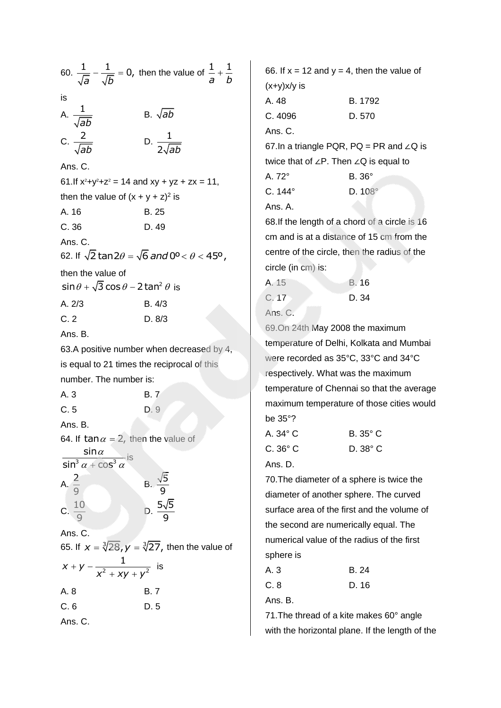|                                                        | 60. $\frac{1}{\sqrt{a}} - \frac{1}{\sqrt{b}} = 0$ , then the value of $\frac{1}{a} + \frac{1}{b}$ |
|--------------------------------------------------------|---------------------------------------------------------------------------------------------------|
| is                                                     |                                                                                                   |
| A. $\frac{1}{\sqrt{ab}}$                               | B. $\sqrt{ab}$                                                                                    |
| C. $\frac{2}{\sqrt{ab}}$                               | D. $\frac{1}{2\sqrt{ab}}$                                                                         |
| Ans. C.                                                |                                                                                                   |
| 61. If $x^2+y^2+z^2 = 14$ and $xy + yz + zx = 11$ ,    |                                                                                                   |
| then the value of $(x + y + z)^2$ is                   |                                                                                                   |
| A. 16                                                  | B. 25                                                                                             |
| C.36                                                   | D. 49                                                                                             |
| Ans. C.                                                |                                                                                                   |
|                                                        | 62. If $\sqrt{2}$ tan2 $\theta$ = $\sqrt{6}$ <i>and</i> 0° < $\theta$ < 45°,                      |
| then the value of                                      |                                                                                                   |
| $\sin\theta + \sqrt{3}\cos\theta - 2\tan^2\theta$ is   |                                                                                                   |
| A. 2/3                                                 | B. 4/3                                                                                            |
| C.2                                                    | D. 8/3                                                                                            |
| Ans. B.                                                |                                                                                                   |
|                                                        | 63.A positive number when decreased by 4,                                                         |
| is equal to 21 times the reciprocal of this            |                                                                                                   |
| number. The number is:                                 |                                                                                                   |
| A. 3                                                   | B. 7                                                                                              |
| C.5                                                    | D. 9                                                                                              |
| Ans. B.                                                |                                                                                                   |
| 64. If $\tan \alpha = 2$ , then the value of           |                                                                                                   |
| $\frac{\sin \alpha}{\sin^3 \alpha + \cos^3 \alpha}$ is |                                                                                                   |
| A. $\frac{2}{9}$                                       |                                                                                                   |
| C. $\frac{10}{9}$                                      | B. $\frac{\sqrt{5}}{9}$<br>D. $\frac{5\sqrt{5}}{9}$                                               |
|                                                        |                                                                                                   |
| Ans. C.                                                | 65. If $x = \sqrt[3]{28}$ , $y = \sqrt[3]{27}$ , then the value of                                |
| $x + y - \frac{1}{x^2 + xy + y^2}$                     | is                                                                                                |
| A. 8                                                   | B. 7                                                                                              |
| C.6                                                    | D. 5                                                                                              |
|                                                        |                                                                                                   |

66. If  $x = 12$  and  $y = 4$ , then the value of (x+y)x/y is A. 48 B. 1792 C. 4096 D. 570 Ans. C. 67.In a triangle PQR,  $PQ = PR$  and ∠Q is twice that of ∠P. Then ∠Q is equal to A. 72° B. 36° C. 144° D. 108° Ans. A. 68.If the length of a chord of a circle is 16 cm and is at a distance of 15 cm from the centre of the circle, then the radius of the circle (in cm) is: A. 15 B. 16 C. 17 D. 34 Ans. C. 69.On 24th May 2008 the maximum temperature of Delhi, Kolkata and Mumbai were recorded as 35°C, 33°C and 34°C respectively. What was the maximum temperature of Chennai so that the average maximum temperature of those cities would be 35°? A. 34° C B. 35° C C. 36° C D. 38° C

Ans. D.

70.The diameter of a sphere is twice the diameter of another sphere. The curved surface area of the first and the volume of the second are numerically equal. The numerical value of the radius of the first sphere is

| A. 3 | B. 24 |
|------|-------|
| C.8  | D. 16 |

Ans. B.

71.The thread of a kite makes 60° angle with the horizontal plane. If the length of the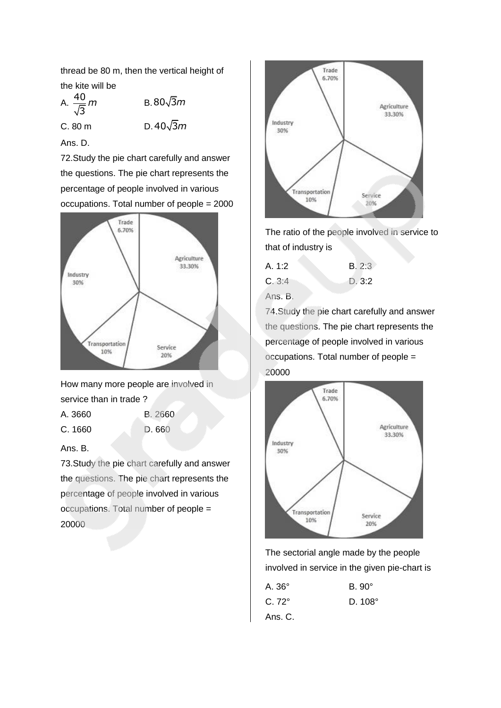thread be 80 m, then the vertical height of the kite will be

A.  $\frac{40}{5}$ 3 *m* B.80√3*m*  $C. 80 m$  $D.40\sqrt{3}m$ Ans. D.

72.Study the pie chart carefully and answer the questions. The pie chart represents the percentage of people involved in various occupations. Total number of people = 2000



How many more people are involved in service than in trade ?

A. 3660 B. 2660 C. 1660 D. 660

## Ans. B.

73.Study the pie chart carefully and answer the questions. The pie chart represents the percentage of people involved in various occupations. Total number of people = 20000



The ratio of the people involved in service to that of industry is

| A. 1:2 | B. 2:3 |
|--------|--------|
| C.3:4  | D.3:2  |
|        |        |

Ans. B.

74.Study the pie chart carefully and answer the questions. The pie chart represents the percentage of people involved in various occupations. Total number of people = 20000



The sectorial angle made by the people involved in service in the given pie-chart is

| A. 36°       | $B.90^\circ$  |
|--------------|---------------|
| $C.72^\circ$ | $D.108^\circ$ |
| Ans. C.      |               |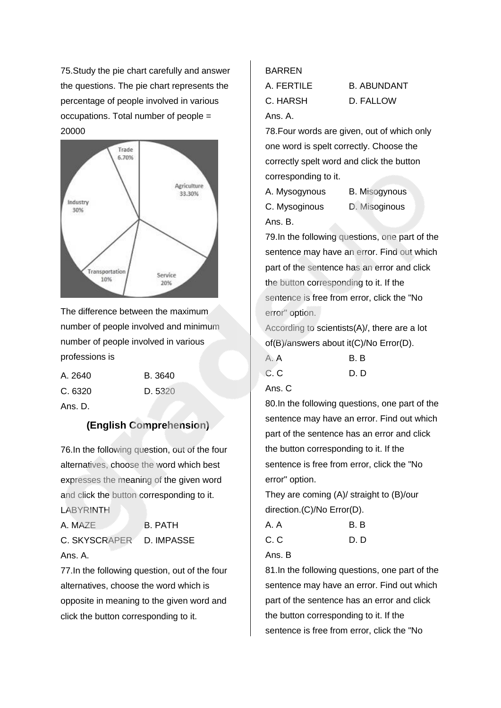75.Study the pie chart carefully and answer the questions. The pie chart represents the percentage of people involved in various occupations. Total number of people = 20000



The difference between the maximum number of people involved and minimum number of people involved in various professions is

| A. 2640 | B. 3640 |
|---------|---------|
| C. 6320 | D. 5320 |

Ans. D.

## **(English Comprehension)**

76.In the following question, out of the four alternatives, choose the word which best expresses the meaning of the given word and click the button corresponding to it. LABYRINTH

A. MAZE B. PATH C. SKYSCRAPER D. IMPASSE

Ans. A.

77.In the following question, out of the four alternatives, choose the word which is opposite in meaning to the given word and click the button corresponding to it.

#### BARREN

| A. FERTILE | <b>B. ABUNDANT</b> |
|------------|--------------------|
| C. HARSH   | D. FALLOW          |
| Ans. A.    |                    |

78.Four words are given, out of which only one word is spelt correctly. Choose the correctly spelt word and click the button corresponding to it.

| A. Mysogynous | <b>B.</b> Misogynous |
|---------------|----------------------|
| C. Mysoginous | D. Misoginous        |
| Ans. B.       |                      |

79.In the following questions, one part of the sentence may have an error. Find out which part of the sentence has an error and click the button corresponding to it. If the sentence is free from error, click the "No error" option.

According to scientists(A)/, there are a lot of(B)/answers about it(C)/No Error(D).

| A. A | B.B |
|------|-----|
| C. C | D.D |

Ans. C

80.In the following questions, one part of the sentence may have an error. Find out which part of the sentence has an error and click the button corresponding to it. If the sentence is free from error, click the "No error" option.

They are coming (A)/ straight to (B)/our direction.(C)/No Error(D).

| A.A | B.B |
|-----|-----|
| C.C | D.D |

Ans. B

81.In the following questions, one part of the sentence may have an error. Find out which part of the sentence has an error and click the button corresponding to it. If the sentence is free from error, click the "No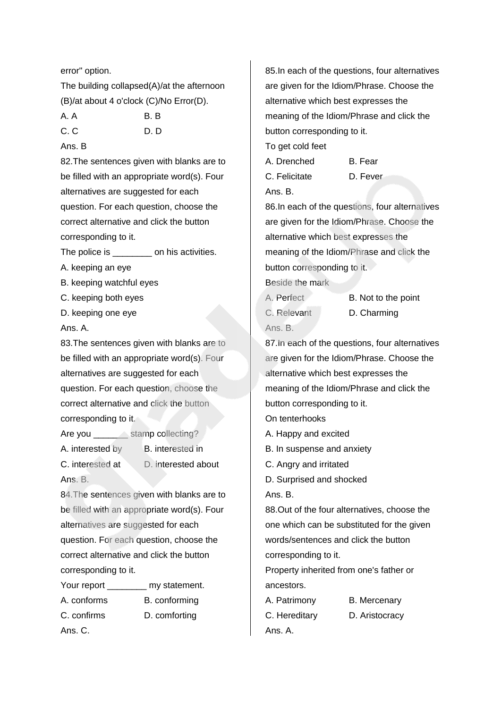error" option.

The building collapsed(A)/at the afternoon (B)/at about 4 o'clock (C)/No Error(D).

- A. A B. B
- C. C D. D. D.

### Ans. B

82.The sentences given with blanks are to be filled with an appropriate word(s). Four alternatives are suggested for each question. For each question, choose the correct alternative and click the button corresponding to it.

The police is \_\_\_\_\_\_\_\_\_ on his activities.

- A. keeping an eye
- B. keeping watchful eyes
- C. keeping both eyes
- D. keeping one eye

Ans. A.

83.The sentences given with blanks are to be filled with an appropriate word(s). Four alternatives are suggested for each question. For each question, choose the correct alternative and click the button corresponding to it.

- Are you stamp collecting?
- A. interested by B. interested in
	-
- C. interested at D. interested about
- 

Ans. B.

84.The sentences given with blanks are to be filled with an appropriate word(s). Four alternatives are suggested for each question. For each question, choose the correct alternative and click the button corresponding to it.

Your report **my statement.** A. conforms B. conforming C. confirms D. comforting Ans. C.

85.In each of the questions, four alternatives are given for the Idiom/Phrase. Choose the alternative which best expresses the meaning of the Idiom/Phrase and click the button corresponding to it.

To get cold feet

| A. Drenched   | B. Fear  |
|---------------|----------|
| C. Felicitate | D. Fever |

Ans. B.

86.In each of the questions, four alternatives are given for the Idiom/Phrase. Choose the alternative which best expresses the meaning of the Idiom/Phrase and click the button corresponding to it.

Beside the mark

A. Perfect B. Not to the point C. Relevant D. Charming Ans. B.

87.In each of the questions, four alternatives are given for the Idiom/Phrase. Choose the alternative which best expresses the meaning of the Idiom/Phrase and click the button corresponding to it.

On tenterhooks

- A. Happy and excited
- B. In suspense and anxiety
- C. Angry and irritated
- D. Surprised and shocked

Ans. B.

88.Out of the four alternatives, choose the one which can be substituted for the given words/sentences and click the button corresponding to it.

Property inherited from one's father or ancestors.

A. Patrimony B. Mercenary C. Hereditary D. Aristocracy Ans. A.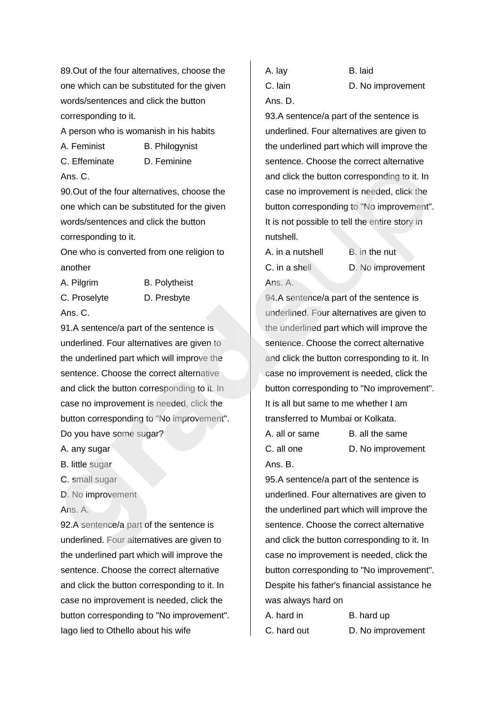89.Out of the four alternatives, choose the one which can be substituted for the given words/sentences and click the button corresponding to it.

A person who is womanish in his habits

A. Feminist B. Philogynist

Ans. C.

C. Effeminate D. Feminine

90.Out of the four alternatives, choose the one which can be substituted for the given words/sentences and click the button corresponding to it.

One who is converted from one religion to another

A. Pilgrim B. Polytheist C. Proselyte D. Presbyte

Ans. C.

91.A sentence/a part of the sentence is underlined. Four alternatives are given to the underlined part which will improve the sentence. Choose the correct alternative and click the button corresponding to it. In case no improvement is needed, click the button corresponding to "No improvement".

Do you have some sugar?

A. any sugar

B. little sugar

C. small sugar

D. No improvement

Ans. A.

92.A sentence/a part of the sentence is underlined. Four alternatives are given to the underlined part which will improve the sentence. Choose the correct alternative and click the button corresponding to it. In case no improvement is needed, click the button corresponding to "No improvement". Iago lied to Othello about his wife

A. lay B. laid C. lain D. No improvement Ans. D.

93.A sentence/a part of the sentence is underlined. Four alternatives are given to the underlined part which will improve the sentence. Choose the correct alternative and click the button corresponding to it. In case no improvement is needed, click the button corresponding to "No improvement". It is not possible to tell the entire story in nutshell.

A. in a nutshell B. in the nut C. in a shell D. No improvement Ans. A.

94.A sentence/a part of the sentence is underlined. Four alternatives are given to the underlined part which will improve the sentence. Choose the correct alternative and click the button corresponding to it. In case no improvement is needed, click the button corresponding to "No improvement". It is all but same to me whether I am transferred to Mumbai or Kolkata.

A. all or same B. all the same C. all one D. No improvement Ans. B.

95.A sentence/a part of the sentence is underlined. Four alternatives are given to the underlined part which will improve the sentence. Choose the correct alternative and click the button corresponding to it. In case no improvement is needed, click the button corresponding to "No improvement". Despite his father's financial assistance he was always hard on

A. hard in B. hard up C. hard out D. No improvement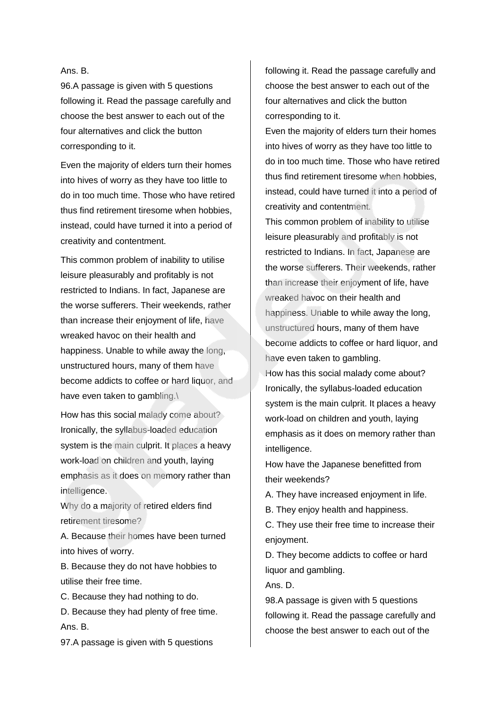#### Ans. B.

96.A passage is given with 5 questions following it. Read the passage carefully and choose the best answer to each out of the four alternatives and click the button corresponding to it.

Even the majority of elders turn their homes into hives of worry as they have too little to do in too much time. Those who have retired thus find retirement tiresome when hobbies, instead, could have turned it into a period of creativity and contentment.

This common problem of inability to utilise leisure pleasurably and profitably is not restricted to Indians. In fact, Japanese are the worse sufferers. Their weekends, rather than increase their enjoyment of life, have wreaked havoc on their health and happiness. Unable to while away the long, unstructured hours, many of them have become addicts to coffee or hard liquor, and have even taken to gambling.\

How has this social malady come about? Ironically, the syllabus-loaded education system is the main culprit. It places a heavy work-load on children and youth, laying emphasis as it does on memory rather than intelligence.

Why do a majority of retired elders find retirement tiresome?

A. Because their homes have been turned into hives of worry.

B. Because they do not have hobbies to utilise their free time.

C. Because they had nothing to do.

D. Because they had plenty of free time. Ans. B.

97.A passage is given with 5 questions

following it. Read the passage carefully and choose the best answer to each out of the four alternatives and click the button corresponding to it.

Even the majority of elders turn their homes into hives of worry as they have too little to do in too much time. Those who have retired thus find retirement tiresome when hobbies, instead, could have turned it into a period of creativity and contentment.

This common problem of inability to utilise leisure pleasurably and profitably is not restricted to Indians. In fact, Japanese are the worse sufferers. Their weekends, rather than increase their enjoyment of life, have wreaked havoc on their health and happiness. Unable to while away the long, unstructured hours, many of them have become addicts to coffee or hard liquor, and have even taken to gambling.

How has this social malady come about? Ironically, the syllabus-loaded education system is the main culprit. It places a heavy work-load on children and youth, laying emphasis as it does on memory rather than intelligence.

How have the Japanese benefitted from their weekends?

A. They have increased enjoyment in life.

B. They enjoy health and happiness.

C. They use their free time to increase their enjoyment.

D. They become addicts to coffee or hard liquor and gambling.

Ans. D.

98.A passage is given with 5 questions following it. Read the passage carefully and choose the best answer to each out of the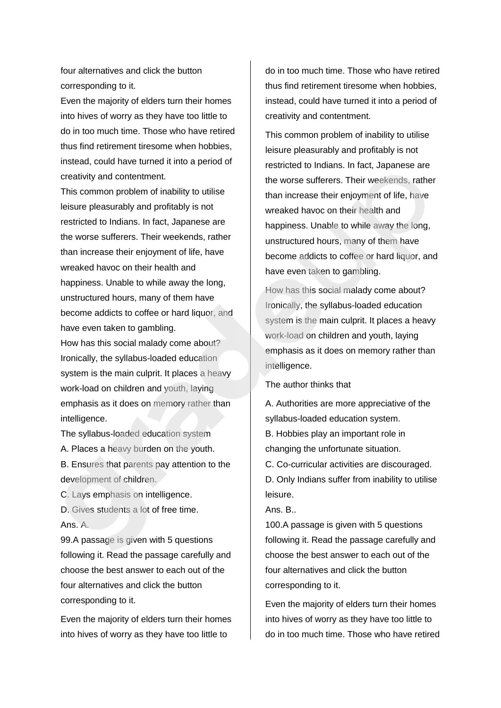four alternatives and click the button corresponding to it.

Even the majority of elders turn their homes into hives of worry as they have too little to do in too much time. Those who have retired thus find retirement tiresome when hobbies, instead, could have turned it into a period of creativity and contentment.

This common problem of inability to utilise leisure pleasurably and profitably is not restricted to Indians. In fact, Japanese are the worse sufferers. Their weekends, rather than increase their enjoyment of life, have wreaked havoc on their health and happiness. Unable to while away the long, unstructured hours, many of them have become addicts to coffee or hard liquor, and have even taken to gambling.

How has this social malady come about? Ironically, the syllabus-loaded education system is the main culprit. It places a heavy work-load on children and youth, laying emphasis as it does on memory rather than intelligence.

The syllabus-loaded education system A. Places a heavy burden on the youth.

B. Ensures that parents pay attention to the development of children.

C. Lays emphasis on intelligence.

D. Gives students a lot of free time. Ans. A.

99.A passage is given with 5 questions following it. Read the passage carefully and choose the best answer to each out of the four alternatives and click the button corresponding to it.

Even the majority of elders turn their homes into hives of worry as they have too little to

do in too much time. Those who have retired thus find retirement tiresome when hobbies, instead, could have turned it into a period of creativity and contentment.

This common problem of inability to utilise leisure pleasurably and profitably is not restricted to Indians. In fact, Japanese are the worse sufferers. Their weekends, rather than increase their enjoyment of life, have wreaked havoc on their health and happiness. Unable to while away the long, unstructured hours, many of them have become addicts to coffee or hard liquor, and have even taken to gambling.

How has this social malady come about? Ironically, the syllabus-loaded education system is the main culprit. It places a heavy work-load on children and youth, laying emphasis as it does on memory rather than intelligence.

The author thinks that

A. Authorities are more appreciative of the syllabus-loaded education system.

B. Hobbies play an important role in changing the unfortunate situation.

C. Co-curricular activities are discouraged.

D. Only Indians suffer from inability to utilise leisure.

Ans. B..

100.A passage is given with 5 questions following it. Read the passage carefully and choose the best answer to each out of the four alternatives and click the button corresponding to it.

Even the majority of elders turn their homes into hives of worry as they have too little to do in too much time. Those who have retired